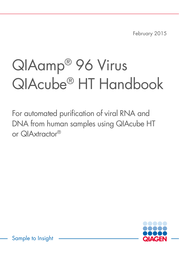February 2015

# QIAamp® 96 Virus QIAcube® HT Handbook

For automated purification of viral RNA and DNA from human samples using QIAcube HT or QIAxtractor®



Sample to Insight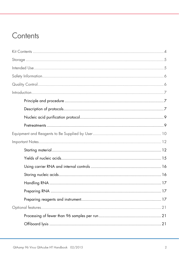# Contents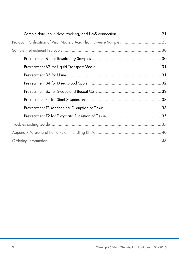| Protocol: Purification of Viral Nucleic Acids from Diverse Samples 23 |  |
|-----------------------------------------------------------------------|--|
|                                                                       |  |
|                                                                       |  |
|                                                                       |  |
|                                                                       |  |
|                                                                       |  |
|                                                                       |  |
|                                                                       |  |
|                                                                       |  |
|                                                                       |  |
|                                                                       |  |
|                                                                       |  |
|                                                                       |  |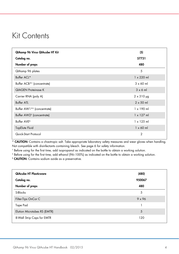# <span id="page-3-0"></span>Kit Contents

| QIAamp 96 Virus QIAcube HT Kit         | (5)               |
|----------------------------------------|-------------------|
| Catalog no.                            | 57731             |
| Number of preps                        | 480               |
| QIAamp 96 plates                       | 5                 |
| Buffer ACL*                            | $1 \times 220$ ml |
| Buffer ACB <sup>*†</sup> (concentrate) | $3 \times 60$ ml  |
| <b>QIAGEN Proteinase K</b>             | $3 \times 6$ m    |
| Carrier RNA (poly A)                   | $2 \times 310$ µg |
| <b>Buffer ATL</b>                      | $2 \times 50$ ml  |
| Buffer AW1 <sup>*†</sup> (concentrate) | $1 \times 190$ ml |
| Buffer AW2 <sup>‡</sup> (concentrate)  | $1 \times 127$ ml |
| Buffer AVE <sup>§</sup>                | $1 \times 125$ ml |
| TopElute Fluid                         | $1 \times 60$ ml  |
| Quick-Start Protocol                   | $\overline{2}$    |

\* CAUTION: Contains a chaotropic salt. Take appropriate laboratory safety measures and wear gloves when handling. Not compatible with disinfectants containing bleach. See page [6](#page-5-0) for safety information.

† Before using for the first time, add isopropanol as indicated on the bottle to obtain a working solution.

‡ Before using for the first time, add ethanol (96–100%) as indicated on the bottle to obtain a working solution.

§ CAUTION: Contains sodium azide as a preservative.

| <b>QIAcube HT Plasticware</b><br>Catalog no. | (480)<br>950067 |
|----------------------------------------------|-----------------|
| Number of preps                              | 480             |
| S-Blocks                                     | 5               |
| Filter-Tips OnCor C                          | $9 \times 96$   |
| Tape Pad                                     |                 |
| Elution Microtubes RS (EMTR)                 | 5               |
| 8-Well Strip Caps for EMTR                   | 120             |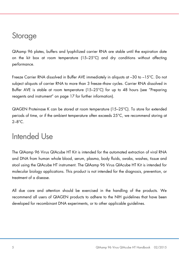# <span id="page-4-0"></span>Storage

QIAamp 96 plates, buffers and lyophilized carrier RNA are stable until the expiration date on the kit box at room temperature (15–25°C) and dry conditions without affecting performance.

Freeze Carrier RNA dissolved in Buffer AVE immediately in aliquots at –30 to –15°C. Do not subject aliquots of carrier RNA to more than 3 freeze–thaw cycles. Carrier RNA dissolved in Buffer AVE is stable at room temperature (15–25°C) for up to 48 hours (see ["Preparing](#page-16-2)  [reagents and instrument"](#page-16-2) on page [17](#page-16-2) for further information).

QIAGEN Proteinase K can be stored at room temperature (15–25°C). To store for extended periods of time, or if the ambient temperature often exceeds 25°C, we recommend storing at  $2 - 8^\circ C$ 

# <span id="page-4-1"></span>Intended Use

The QIAamp 96 Virus QIAcube HT Kit is intended for the automated extraction of viral RNA and DNA from human whole blood, serum, plasma, body fluids, swabs, washes, tissue and stool using the QIAcube HT instrument. The QIAamp 96 Virus QIAcube HT Kit is intended for molecular biology applications. This product is not intended for the diagnosis, prevention, or treatment of a disease.

All due care and attention should be exercised in the handling of the products. We recommend all users of QIAGEN products to adhere to the NIH guidelines that have been developed for recombinant DNA experiments, or to other applicable guidelines.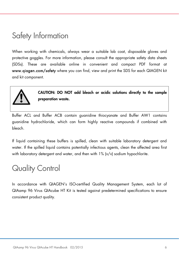# <span id="page-5-0"></span>Safety Information

When working with chemicals, always wear a suitable lab coat, disposable gloves and protective goggles. For more information, please consult the appropriate safety data sheets (SDSs). These are available online in convenient and compact PDF format at www.qiagen.com/safety where you can find, view and print the SDS for each QIAGEN kit and kit component.



CAUTION: DO NOT add bleach or acidic solutions directly to the sample preparation waste.

Buffer ACL and Buffer ACB contain guanidine thiocyanate and Buffer AW1 contains guanidine hydrochloride, which can form highly reactive compounds if combined with bleach.

If liquid containing these buffers is spilled, clean with suitable laboratory detergent and water. If the spilled liquid contains potentially infectious agents, clean the affected area first with laboratory detergent and water, and then with 1% (v/v) sodium hypochlorite.

# <span id="page-5-1"></span>Quality Control

In accordance with QIAGEN's ISO-certified Quality Management System, each lot of QIAamp 96 Virus QIAcube HT Kit is tested against predetermined specifications to ensure consistent product quality.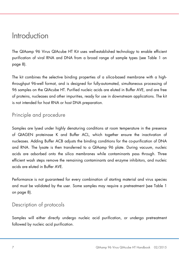# <span id="page-6-0"></span>Introduction

The QIAamp 96 Virus QIAcube HT Kit uses well-established technology to enable efficient purification of viral RNA and DNA from a broad range of sample types (see Table 1 on page [8\)](#page-7-0).

The kit combines the selective binding properties of a silica-based membrane with a highthroughput 96-well format, and is designed for fully-automated, simultaneous processing of 96 samples on the QIAcube HT. Purified nucleic acids are eluted in Buffer AVE, and are free of proteins, nucleases and other impurities, ready for use in downstream applications. The kit is not intended for host RNA or host DNA preparation.

# <span id="page-6-1"></span>Principle and procedure

Samples are lysed under highly denaturing conditions at room temperature in the presence of QIAGEN proteinase K and Buffer ACL, which together ensure the inactivation of nucleases. Adding Buffer ACB adjusts the binding conditions for the co-purification of DNA and RNA. The lysate is then transferred to a QIAamp 96 plate. During vacuum, nucleic acids are adsorbed onto the silica membranes while contaminants pass through. Three efficient wash steps remove the remaining contaminants and enzyme inhibitors, and nucleic acids are eluted in Buffer AVE.

Performance is not guaranteed for every combination of starting material and virus species and must be validated by the user. Some samples may require a pretreatment (see Table 1 on page [8\)](#page-7-0).

### <span id="page-6-2"></span>Description of protocols

Samples will either directly undergo nucleic acid purification, or undergo pretreatment followed by nucleic acid purification.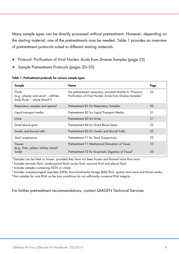Many sample types can be directly processed without pretreatment. However, depending on the starting material, one of the pretreatments may be needed. Table 1 provides an overview of pretreatment protocols suited to different starting materials.

- [Protocol: Purification of Viral](#page-22-0) Nucleic Acids from Diverse Samples (page [23\)](#page-22-0)
- [Sample Pretreatment Protocols](#page-29-0) (pages [30](#page-29-0)[–35\)](#page-34-1)

<span id="page-7-0"></span>

| Sample                                                                                                                | Name                                                                                                                   | Page |
|-----------------------------------------------------------------------------------------------------------------------|------------------------------------------------------------------------------------------------------------------------|------|
| Fluids<br>(e.g., plasma and serum <sup>*</sup> , cell-free<br>body fluids <sup>*†</sup> , whole blood <sup>†‡</sup> ) | No pretreatment necessary; proceed directly to "Protocol:<br>Purification of Viral Nucleic Acids from Diverse Samples" | 23   |
| Respiratory samples and sputum <sup>§</sup>                                                                           | Pretreatment B1 for Respiratory Samples                                                                                | 30   |
| Liquid transport media                                                                                                | Pretreatment B2 for Liquid Transport Media                                                                             | 31   |
| Urine                                                                                                                 | Pretreatment B3 for Urine                                                                                              | 31   |
| Dried blood spots                                                                                                     | Pretreatment B4 for Dried Blood Spots                                                                                  | 32   |
| Swabs and buccal cells                                                                                                | Pretreatment B5 for Swabs and Buccal Cells                                                                             | 32   |
| Stool suspensions                                                                                                     | Pretreatment F1 for Stool Suspensions                                                                                  | 33   |
| Tissues<br>(e.g., liver, spleen, kidney, lymph                                                                        | Pretreatment T1 Mechanical Disruption of Tissue                                                                        | 33   |
| node)                                                                                                                 | Pretreatment T2 for Enzymatic Digestion of Tissue <sup>1</sup>                                                         | 35   |

#### Table 1. Pretreatment protocols for various sample types

\*Samples can be fresh or frozen, provided they have not been frozen and thawed more than once.

† Includes amniotic fluid, cerebrospinal fluid, ocular fluid, synovial fluid and pleural fluid.

‡ Includes samples containing EDTA or citrate.

§ Includes nasopharyngeal aspirates (NPA), bronchoalveolar lavage (BAL) fluid, sputum and nasal and throat swabs.

¶ Not suitable for viral RNA as the lysis conditions do not sufficiently conserve RNA integrity.

For further pretreatment recommendations, contact QIAGEN Technical Services.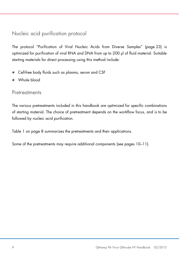## <span id="page-8-0"></span>Nucleic acid purification protocol

The protocol "Purification of Viral Nucleic Acids from Diverse Samples" (page [23\)](#page-21-0) is optimized for purification of viral RNA and DNA from up to 200 µl of fluid material. Suitable starting materials for direct processing using this method include:

- Cell-free body fluids such as plasma, serum and CSF
- Whole blood

### <span id="page-8-1"></span>**Pretreatments**

The various pretreatments included in this handbook are optimized for specific combinations of starting material. The choice of pretreatment depends on the workflow focus, and is to be followed by nucleic acid purification.

Table 1 on page [8](#page-7-0) summarizes the pretreatments and their applications.

Some of the pretreatments may require additional components (see pages [10–](#page-9-1)[11\)](#page-10-0).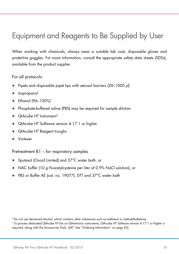# <span id="page-9-0"></span>Equipment and Reagents to Be Supplied by User

When working with chemicals, always wear a suitable lab coat, disposable gloves and protective goggles. For more information, consult the appropriate safety data sheets (SDSs), available from the product supplier.

For all protocols:

- Pipets and disposable pipet tips with aerosol barriers (20–1000 µl)
- Isopropanol
- Ethanol (96-100%)[\\*](#page-9-2)
- Phosphate-buffered saline (PBS) may be required for sample dilution
- QIAcube HT Instrument<sup>[†](#page-9-3)</sup>
- QIAcube HT Software version 4.17.1 or higher
- QIAcube HT Reagent troughs
- <span id="page-9-1"></span>Vortexer

Pretreatment B1 – for respiratory samples

- Sputasol (Oxoid Limited) and 37°C water bath, or
- NAC buffer (10 g N-acetylcysteine per liter of 0.9% NaCl solution), or
- PBS or Buffer AE (cat. no. 19077), DTT and 37°C water bath

<span id="page-9-2"></span><sup>\*</sup>Do not use denatured alcohol, which contains other substances such as methanol or methylethylketone.

<span id="page-9-3"></span><sup>†</sup> To process dedicated QIAcube HT kits on QIAxtractor instruments, QIAcube HT Software version 4.17.1 or higher is required, along with the Accessories Pack, QXT. See ["Ordering Information"](#page-42-0) on page [43\).](#page-42-0)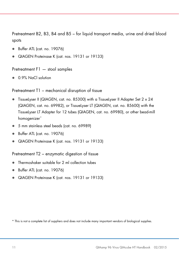Pretreatment B2, B3, B4 and B5 – for liquid transport media, urine and dried blood spots

- Buffer ATL (cat. no. 19076)
- QIAGEN Proteinase K (cat. nos. 19131 or 19133)

Pretreatment F1 — stool samples

0.9% NaCl solution

Pretreatment T1 – mechanical disruption of tissue

- TissueLyser II (QIAGEN, cat. no. 85300) with a TissueLyser II Adapter Set 2 x 24 (QIAGEN, cat. no. 69982), or TissueLyser LT (QIAGEN, cat. no. 85600) with the TissueLyser LT Adapter for 12 tubes (QIAGEN, cat. no. 69980), or other bead-mill homogenizer<sup>[\\*](#page-10-1)</sup>
- 5 mm stainless steel beads (cat. no. 69989)
- Buffer ATL (cat. no. 19076)
- QIAGEN Proteinase K (cat. nos. 19131 or 19133)

<span id="page-10-0"></span>Pretreatment T2 – enzymatic digestion of tissue

- Thermoshaker suitable for 2 ml collection tubes
- Buffer ATL (cat. no. 19076)
- QIAGEN Proteinase K (cat. nos. 19131 or 19133)

<span id="page-10-1"></span>\* This is not a complete list of suppliers and does not include many important vendors of biological supplies.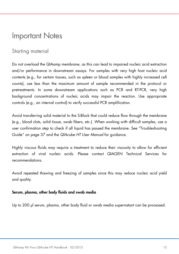# <span id="page-11-0"></span>Important Notes

### <span id="page-11-1"></span>Starting material

Do not overload the QIAamp membrane, as this can lead to impaired nucleic acid extraction and/or performance in downstream assays. For samples with very high host nucleic acid contents (e.g., for certain tissues, such as spleen or blood samples with highly increased cell counts), use less than the maximum amount of sample recommended in the protocol or pretreatments. In some downstream applications such as PCR and RT-PCR, very high background concentrations of nucleic acids may impair the reaction. Use appropriate controls (e.g., an internal control) to verify successful PCR amplification.

Avoid transferring solid material to the S-Block that could reduce flow through the membrane (e.g., blood clots, solid tissue, swab fibers, etc.). When working with difficult samples, use a user confirmation step to check if all liquid has passed the membrane. See ["Troubleshooting](#page-36-0)  [Guide"](#page-36-0) on page [37](#page-36-0) and the *QIAcube HT User Manual* for guidance.

Highly viscous fluids may require a treatment to reduce their viscosity to allow for efficient extraction of viral nucleic acids. Please contact QIAGEN Technical Services for recommendations.

Avoid repeated thawing and freezing of samples since this may reduce nucleic acid yield and quality.

#### Serum, plasma, other body fluids and swab media

Up to 200 µl serum, plasma, other body fluid or swab media supernatant can be processed.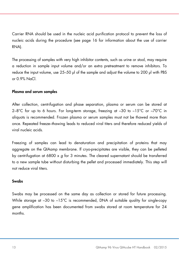Carrier RNA should be used in the nucleic acid purification protocol to prevent the loss of nucleic acids during the procedure (see page [16](#page-15-2) for information about the use of carrier RNA).

The processing of samples with very high inhibitor contents, such as urine or stool, may require a reduction in sample input volume and/or an extra pretreatment to remove inhibitors. To reduce the input volume, use 25–50 µl of the sample and adjust the volume to 200 µl with PBS or 0.9% NaCl.

#### Plasma and serum samples

After collection, centrifugation and phase separation, plasma or serum can be stored at  $2-8^{\circ}$ C for up to 6 hours. For long-term storage, freezing at  $-30$  to  $-15^{\circ}$ C or  $-70^{\circ}$ C in aliquots is recommended. Frozen plasma or serum samples must not be thawed more than once. Repeated freeze–thawing leads to reduced viral titers and therefore reduced yields of viral nucleic acids.

Freezing of samples can lead to denaturation and precipitation of proteins that may aggregate on the QIAamp membrane. If cryo-precipitates are visible, they can be pelleted by centrifugation at 6800 x *g* for 3 minutes. The cleared supernatant should be transferred to a new sample tube without disturbing the pellet and processed immediately. This step will not reduce viral titers.

#### <span id="page-12-0"></span>Swabs

Swabs may be processed on the same day as collection or stored for future processing. While storage at -30 to -15°C is recommended, DNA of suitable quality for single-copy gene amplification has been documented from swabs stored at room temperature for 24 months.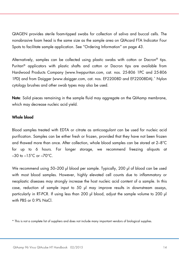QIAGEN provides sterile foam-tipped swabs for collection of saliva and buccal cells. The nonabrasive foam head is the same size as the sample area on QIAcard FTA Indicator Four Spots to facilitate sample application. See ["Ordering Information"](#page-42-0) on page [43.](#page-42-0)

Alternatively, samples can be collected using plastic swabs with cotton or Dacron® tips. Puritan® applicators with plastic shafts and cotton or Dacron tips are available from Hardwood Products Company (www.hwppuritan.com, cat. nos. 25-806 1PC and 25-806 1PD) and from Daigger (www.daigger.com, cat. nos. EF22008D and EF22008DA).[\\*](#page-13-0) Nylon cytology brushes and other swab types may also be used.

Note: Solid pieces remaining in the sample fluid may aggregate on the QIAamp membrane, which may decrease nucleic acid yield.

### Whole blood

Blood samples treated with EDTA or citrate as anticoagulant can be used for nucleic acid purification. Samples can be either fresh or frozen, provided that they have not been frozen and thawed more than once. After collection, whole blood samples can be stored at 2–8°C for up to 6 hours. For longer storage, we recommend freezing aliquots at  $-30$  to  $-15^{\circ}$ C or  $-70^{\circ}$ C.

We recommend using 50–200 µl blood per sample. Typically, 200 µl of blood can be used with most blood samples. However, highly elevated cell counts due to inflammatory or neoplastic diseases may strongly increase the host nucleic acid content of a sample. In this case, reduction of sample input to 50 µl may improve results in downstream assays, particularly in RT-PCR. If using less than 200 µl blood, adjust the sample volume to 200 µl with PBS or 0.9% NaCl

<span id="page-13-0"></span><sup>\*</sup> This is not a complete list of suppliers and does not include many important vendors of biological supplies.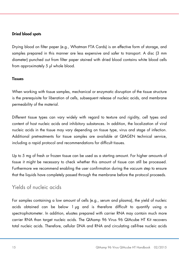#### <span id="page-14-1"></span>Dried blood spots

Drying blood on filter paper (e.g., Whatman FTA Cards) is an effective form of storage, and samples prepared in this manner are less expensive and safer to transport. A disc (3 mm diameter) punched out from filter paper stained with dried blood contains white blood cells from approximately 5 µl whole blood.

#### **Tissues**

When working with tissue samples, mechanical or enzymatic disruption of the tissue structure is the prerequisite for liberation of cells, subsequent release of nucleic acids, and membrane permeability of the material.

Different tissue types can vary widely with regard to texture and rigidity, cell types and content of host nucleic acids and inhibitory substances. In addition, the localization of viral nucleic acids in the tissue may vary depending on tissue type, virus and stage of infection. Additional pretreatments for tissue samples are available at QIAGEN technical service, including a rapid protocol and recommendations for difficult tissues.

Up to 5 mg of fresh or frozen tissue can be used as a starting amount. For higher amounts of tissue it might be necessary to check whether this amount of tissue can still be processed. Furthermore we recommend enabling the user confirmation during the vacuum step to ensure that the liquids have completely passed through the membrane before the protocol proceeds.

### <span id="page-14-0"></span>Yields of nucleic acids

For samples containing a low amount of cells (e.g., serum and plasma), the yield of nucleic acids obtained can be below 1 µg and is therefore difficult to quantify using a spectrophotometer. In addition, eluates prepared with carrier RNA may contain much more carrier RNA than target nucleic acids. The QIAamp 96 Virus 96 QIAcube HT Kit recovers total nucleic acids. Therefore, cellular DNA and RNA and circulating cell-free nucleic acids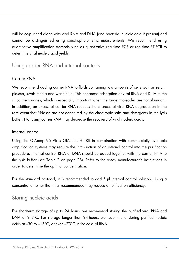will be co-purified along with viral RNA and DNA (and bacterial nucleic acid if present) and cannot be distinguished using spectrophotometric measurements. We recommend using quantitative amplification methods such as quantitative real-time PCR or real-time RT-PCR to determine viral nucleic acid yields.

### <span id="page-15-0"></span>Using carrier RNA and internal controls

### <span id="page-15-2"></span>Carrier RNA

We recommend adding carrier RNA to fluids containing low amounts of cells such as serum, plasma, swab media and wash fluid. This enhances adsorption of viral RNA and DNA to the silica membranes, which is especially important when the target molecules are not abundant. In addition, an excess of carrier RNA reduces the chances of viral RNA degradation in the rare event that RNases are not denatured by the chaotropic salts and detergents in the lysis buffer. Not using carrier RNA may decrease the recovery of viral nucleic acids.

### Internal control

Using the QIAamp 96 Virus QIAcube HT Kit in combination with commercially available amplification systems may require the introduction of an internal control into the purification procedure. Internal control RNA or DNA should be added together with the carrier RNA to the lysis buffer (see Table 2 on page [28\)](#page-27-0). Refer to the assay manufacturer's instructions in order to determine the optimal concentration.

For the standard protocol, it is recommended to add 5 µl internal control solution. Using a concentration other than that recommended may reduce amplification efficiency.

### <span id="page-15-1"></span>Storing nucleic acids

For short-term storage of up to 24 hours, we recommend storing the purified viral RNA and DNA at 2–8°C. For storage longer than 24 hours, we recommend storing purified nucleic acids at –30 to –15°C, or even –70°C in the case of RNA.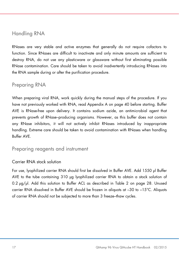### <span id="page-16-0"></span>Handling RNA

RNases are very stable and active enzymes that generally do not require cofactors to function. Since RNases are difficult to inactivate and only minute amounts are sufficient to destroy RNA, do not use any plasticware or glassware without first eliminating possible RNase contamination. Care should be taken to avoid inadvertently introducing RNases into the RNA sample during or after the purification procedure.

### <span id="page-16-1"></span>Preparing RNA

When preparing viral RNA, work quickly during the manual steps of the procedure. If you have not previously worked with RNA, read Appendix A on page [40](#page-39-0) before starting. Buffer AVE is RNase-free upon delivery. It contains sodium azide, an antimicrobial agent that prevents growth of RNase–producing organisms. However, as this buffer does not contain any RNase inhibitors, it will not actively inhibit RNases introduced by inappropriate handling. Extreme care should be taken to avoid contamination with RNases when handling Buffer AVE.

<span id="page-16-2"></span>Preparing reagents and instrument

### Carrier RNA stock solution

For use, lyophilized carrier RNA should first be dissolved in Buffer AVE. Add 1550 µl Buffer AVE to the tube containing 310 µg lyophilized carrier RNA to obtain a stock solution of 0.2 µg/µl. Add this solution to Buffer ACL as described in Table 2 on page [28.](#page-27-0) Unused carrier RNA dissolved in Buffer AVE should be frozen in aliquots at –30 to –15°C. Aliquots of carrier RNA should not be subjected to more than 3 freeze–thaw cycles.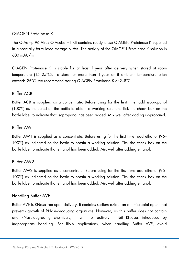### QIAGEN Proteinase K

The QIAamp 96 Virus QIAcube HT Kit contains ready-to-use QIAGEN Proteinase K supplied in a specially formulated storage buffer. The activity of the QIAGEN Proteinase K solution is 600 mAU/ml.

QIAGEN Proteinase K is stable for at least 1 year after delivery when stored at room temperature (15–25°C). To store for more than 1 year or if ambient temperature often exceeds 25°C, we recommend storing QIAGEN Proteinase K at 2–8°C.

### Buffer ACB

Buffer ACB is supplied as a concentrate. Before using for the first time, add isopropanol (100%) as indicated on the bottle to obtain a working solution. Tick the check box on the bottle label to indicate that isopropanol has been added. Mix well after adding isopropanol.

#### Buffer AW1

Buffer AW1 is supplied as a concentrate. Before using for the first time, add ethanol (96– 100%) as indicated on the bottle to obtain a working solution. Tick the check box on the bottle label to indicate that ethanol has been added. Mix well after adding ethanol.

#### Buffer AW2

Buffer AW2 is supplied as a concentrate. Before using for the first time add ethanol (96– 100%) as indicated on the bottle to obtain a working solution. Tick the check box on the bottle label to indicate that ethanol has been added. Mix well after adding ethanol.

### Handling Buffer AVE

Buffer AVE is RNase-free upon delivery. It contains sodium azide, an antimicrobial agent that prevents growth of RNase-producing organisms. However, as this buffer does not contain any RNase-degrading chemicals, it will not actively inhibit RNases introduced by inappropriate handling. For RNA applications, when handling Buffer AVE, avoid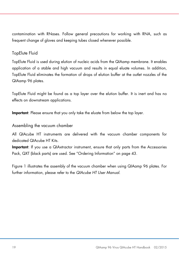contamination with RNases. Follow general precautions for working with RNA, such as frequent change of gloves and keeping tubes closed whenever possible.

### TopElute Fluid

TopElute Fluid is used during elution of nucleic acids from the QIAamp membrane. It enables application of a stable and high vacuum and results in equal eluate volumes. In addition, TopElute Fluid eliminates the formation of drops of elution buffer at the outlet nozzles of the QIAamp 96 plates.

TopElute Fluid might be found as a top layer over the elution buffer. It is inert and has no effects on downstream applications.

Important: Please ensure that you only take the eluate from below the top layer.

### <span id="page-18-0"></span>Assembling the vacuum chamber

All QIAcube HT instruments are delivered with the vacuum chamber components for dedicated QIAcube HT Kits.

Important: If you use a QIAxtractor instrument, ensure that only parts from the Accessories Pack, QXT (black parts) are used. See ["Ordering Information"](#page-42-0) on page [43.](#page-42-0)

Figure 1 illustrates the assembly of the vacuum chamber when using QIAamp 96 plates. For further information, please refer to the *QIAcube HT User Manual*.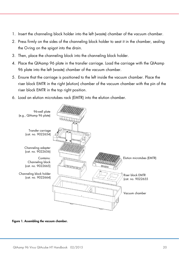- 1. Insert the channeling block holder into the left (waste) chamber of the vacuum chamber.
- 2. Press firmly on the sides of the channeling block holder to seat it in the chamber, sealing the O-ring on the spigot into the drain.
- 3. Then, place the channeling block into the channeling block holder.
- 4. Place the QIAamp 96 plate in the transfer carriage. Load the carriage with the QIAamp 96 plate into the left (waste) chamber of the vacuum chamber.
- 5. Ensure that the carriage is positioned to the left inside the vacuum chamber. Place the riser block EMTR in the right (elution) chamber of the vacuum chamber with the pin of the riser block EMTR in the top right position.
- 6. Load an elution microtubes rack (EMTR) into the elution chamber.



Figure 1. Assembling the vacuum chamber.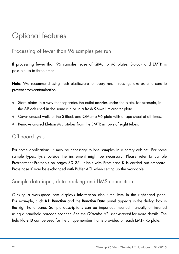# <span id="page-20-0"></span>Optional features

### <span id="page-20-1"></span>Processing of fewer than 96 samples per run

If processing fewer than 96 samples reuse of QIAamp 96 plates, S-Block and EMTR is possible up to three times.

Note: We recommend using fresh plasticware for every run. If reusing, take extreme care to prevent cross-contamination.

- Store plates in a way that separates the outlet nozzles under the plate, for example, in the S-Block used in the same run or in a fresh 96-well microtiter plate.
- Cover unused wells of the S-Block and QIAamp 96 plate with a tape sheet at all times.
- Remove unused Elution Microtubes from the EMTR in rows of eight tubes.

## <span id="page-20-2"></span>Off-board lysis

For some applications, it may be necessary to lyse samples in a safety cabinet. For some sample types, lysis outside the instrument might be necessary. Please refer to [Sample](#page-29-0)  [Pretreatment Protocols](#page-29-0) on pages [30–](#page-29-0)[35.](#page-34-1) If lysis with Proteinase K is carried out off-board, Proteinase K may be exchanged with Buffer ACL when setting up the worktable.

### <span id="page-20-3"></span>Sample data input, data tracking and LIMS connection

Clicking a workspace item displays information about the item in the right-hand pane. For example, click A1: Reaction and the Reaction Data panel appears in the dialog box in the right-hand pane. Sample descriptions can be imported, inserted manually or inserted using a handheld barcode scanner. See the *QIAcube HT User Manual* for more details. The field Plate ID can be used for the unique number that is provided on each EMTR RS plate.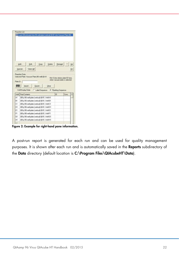|                | Load 200 ul lysate from 96 well plate (vertical) @ 81 into Vacuum Plate (96 |          |                                    |    |
|----------------|-----------------------------------------------------------------------------|----------|------------------------------------|----|
|                |                                                                             |          |                                    |    |
|                |                                                                             |          |                                    |    |
|                |                                                                             |          |                                    |    |
|                |                                                                             |          |                                    |    |
|                | Edit<br>Copy<br>Delete  <br>Add                                             | Retarget |                                    | Up |
|                |                                                                             |          |                                    |    |
|                | Special.<br>Select All                                                      |          |                                    | Dn |
|                | Reaction Data<br>Selected Plate: Vacuum Plate (96 well) @ A1                |          |                                    |    |
|                |                                                                             |          | Hint: Enter elution plate ID here, |    |
| Plate ID       |                                                                             |          |                                    |    |
| <b>LIL</b>     |                                                                             |          | when vacuum plate is selected.     |    |
|                |                                                                             |          |                                    |    |
|                | Import<br>Export<br>Clear                                                   |          |                                    |    |
|                | Well Display Order<br>C Label Sequence <sup>C</sup> Pipetting Sequence      |          |                                    |    |
| Well           | Final Contents                                                              | ID       | Conc.                              |    |
| A1             | 200 µl 96 well plate (vertical) @ B1, Well A1                               |          |                                    |    |
| B1             | 200 µl 96 well plate (vertical) @ B1, Well B1                               |          |                                    |    |
| C1             | 200 µl 96 well plate (vertical) @ B1, Well C1                               |          |                                    |    |
| D <sub>1</sub> | 200 µl 96 well plate (vertical) @ B1, Well D1                               |          |                                    |    |
| E <sub>1</sub> | 200 µl 96 well plate (vertical) @ B1, Well E1                               |          |                                    |    |
| F1             | 200 µl 96 well plate (vertical) @ B1, Well F1                               |          |                                    |    |
| G1             | 200 µl 96 well plate (vertical) @ B1, Well G1                               |          |                                    |    |
| H <sub>1</sub> | 200 µl 96 well plate (vertical) @ B1, Well H1                               |          |                                    |    |

Figure 2: Example for right-hand pane information.

<span id="page-21-0"></span>A post-run report is generated for each run and can be used for quality management purposes. It is shown after each run and is automatically saved in the Reports subdirectory of the Data directory (default location is C:\Program Files\QIAcubeHT\Data).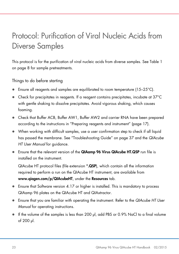# <span id="page-22-0"></span>Protocol: Purification of Viral Nucleic Acids from Diverse Samples

This protocol is for the purification of viral nucleic acids from diverse samples. See Table 1 on page [8](#page-7-0) for sample pretreatments.

Things to do before starting

- Ensure all reagents and samples are equilibrated to room temperature (15–25°C).
- Check for precipitates in reagents. If a reagent contains precipitates, incubate at 37°C with gentle shaking to dissolve precipitates. Avoid vigorous shaking, which causes foaming.
- Check that Buffer ACB, Buffer AW1, Buffer AW2 and carrier RNA have been prepared according to the instructions in ["Preparing reagents and instrument"](#page-16-2) (page [17\)](#page-16-2).
- When working with difficult samples, use a user confirmation step to check if all liquid has passed the membrane. See ["Troubleshooting Guide"](#page-36-0) on page [37](#page-36-0) and the *QIAcube HT User Manual* for guidance.
- Ensure that the relevant version of the QIAamp 96 Virus QIAcube HT.QSP run file is installed on the instrument.

QIAcube HT protocol files (file extension \*.QSP), which contain all the information required to perform a run on the QIAcube HT instrument, are available from www.qiagen.com/p/QIAcubeHT, under the Resources tab.

- Ensure that Software version 4.17 or higher is installed. This is mandatory to process QIAamp 96 plates on the QIAcube HT and QIAxtractor.
- Ensure that you are familiar with operating the instrument. Refer to the *QIAcube HT User Manual* for operating instructions.
- If the volume of the samples is less than 200 µl, add PBS or 0.9% NaCl to a final volume of 200 µl.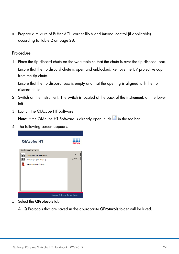• Prepare a mixture of Buffer ACL, carrier RNA and internal control (if applicable) according to Table 2 on page [28.](#page-27-0)

### Procedure

1. Place the tip discard chute on the worktable so that the chute is over the tip disposal box. Ensure that the tip discard chute is open and unblocked. Remove the UV protective cap from the tip chute.

Ensure that the tip disposal box is empty and that the opening is aligned with the tip discard chute.

- 2. Switch on the instrument. The switch is located at the back of the instrument, on the lower left
- 3. Launch the QIAcube HT Software.

Note: If the QIAcube HT Software is already open, click in the toolbar.

4. The following screen appears.



5. Select the QProtocols tab.

All Q Protocols that are saved in the appropriate **QProtocols** folder will be listed.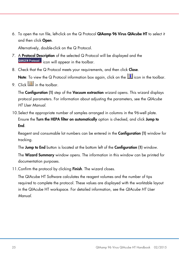6. To open the run file, left-click on the Q Protocol QIAamp 96 Virus QIAcube HT to select it and then click Open.

Alternatively, double-click on the Q Protocol.

- 7. A **Protocol Description** of the selected Q Protocol will be displayed and the **QIAGEN Protocol** icon will appear in the toolbar.
- 8. Check that the Q Protocol meets your requirements, and then click Close.

Note: To view the Q Protocol information box again, click on the  $\boxed{1}$  icon in the toolbar.

9 Click  $\boxed{4}$  in the toolbar.

The **Configuration (1)** step of the **Vacuum extraction** wizard opens. This wizard displays protocol parameters. For information about adjusting the parameters, see the *QIAcube HT User Manual*.

10.Select the appropriate number of samples arranged in columns in the 96-well plate. Ensure the Turn the HEPA filter on automatically option is checked, and click Jump to End.

Reagent and consumable lot numbers can be entered in the Configuration (1) window for tracking.

The Jump to End button is located at the bottom left of the Configuration (1) window.

The Wizard Summary window opens. The information in this window can be printed for documentation purposes.

11. Confirm the protocol by clicking **Finish**. The wizard closes.

The QIAcube HT Software calculates the reagent volumes and the number of tips required to complete the protocol. These values are displayed with the worktable layout in the QIAcube HT workspace. For detailed information, see the *QIAcube HT User Manual*.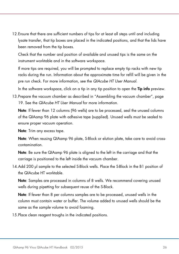12.Ensure that there are sufficient numbers of tips for at least all steps until and including lysate transfer, that tip boxes are placed in the indicated positions, and that the lids have been removed from the tip boxes.

Check that the number and position of available and unused tips is the same on the instrument worktable and in the software workspace.

If more tips are required, you will be prompted to replace empty tip racks with new tip racks during the run. Information about the approximate time for refill will be given in the pre run check. For more information, see the *QIAcube HT User Manual*.

In the software workspace, click on a tip in any tip position to open the **Tip info** preview.

13.Prepare the vacuum chamber as described in ["Assembling the vacuum chamber"](#page-18-0), page [19.](#page-18-0) See the *QIAcube HT User Manual* for more information.

Note: If fewer than 12 columns (96 wells) are to be processed, seal the unused columns of the QIAamp 96 plate with adhesive tape (supplied). Unused wells must be sealed to ensure proper vacuum operation.

Note: Trim any excess tape.

Note: When reusing QIAamp 96 plate, S-Block or elution plate, take care to avoid crosscontamination.

Note: Be sure the QIAamp 96 plate is aligned to the left in the carriage and that the carriage is positioned to the left inside the vacuum chamber.

14.Add 200 µl sample to the selected S-Block wells. Place the S-Block in the B1 position of the QIAcube HT worktable.

Note: Samples are processed in columns of 8 wells. We recommend covering unused wells during pipetting for subsequent reuse of the S-Block.

Note: If fewer than 8 per columns samples are to be processed, unused wells in the column must contain water or buffer. The volume added to unused wells should be the same as the sample volume to avoid foaming.

15.Place clean reagent troughs in the indicated positions.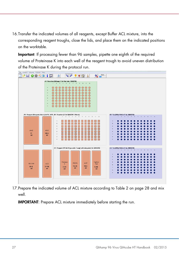16.Transfer the indicated volumes of all reagents, except Buffer ACL mixture, into the corresponding reagent troughs, close the lids, and place them on the indicated positions on the worktable.

Important: If processing fewer than 96 samples, pipette one eighth of the required volume of Proteinase K into each well of the reagent trough to avoid uneven distribution of the Proteinase K during the protocol run.



17.Prepare the indicated volume of ACL mixture according to Table 2 on page [28](#page-27-0) and mix well.

IMPORTANT: Prepare ACL mixture immediately before starting the run.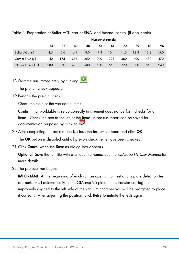|                       | . .<br>Number of samples |     |     |     |     |      |      |      |      |      |
|-----------------------|--------------------------|-----|-----|-----|-----|------|------|------|------|------|
|                       | 24                       | 32  | 40  | 48  | 56  | 64   | 72   | 80   | 88   | 96   |
| Buffer ACL (ml)       | 4.5                      | 5.6 | 6.9 | 8.0 | 9.3 | 10.4 | 11.5 | 12.8 | 13.8 | 15.0 |
| Carrier RNA (µl)      | 140                      | 175 | 215 | 250 | 290 | 325  | 360  | 400  | 430  | 470  |
| Internal Control (µl) | 280                      | 350 | 430 | 500 | 580 | 650  | 720  | 800  | 860  | 940  |

#### <span id="page-27-0"></span>Table 2. Preparation of Buffer ACL, carrier RNA, and internal control (if applicable)

# 18. Start the run immediately by clicking

The pre-run check appears.

19.Perform the pre-run check.

Check the state of the worktable items.

Confirm that worktable is setup correctly (instrument does not perform checks for all items). Check the box to the left of the items. A pre-run report can be saved for documentation purposes by clicking

20.After completing the pre-run check, close the instrument hood and click OK.

The OK button is disabled until all pre-run check items have been checked.

21. Click **Cancel** when the **Save as** dialog box appears.

Optional: Save the run file with a unique file name. See the *QIAcube HT User Manual* for more details.

22.The protocol run begins.

IMPORTANT: At the beginning of each run an open circuit test and a plate detection test are performed automatically. If the QIAamp 96 plate in the transfer carriage is improperly aligned to the left side of the vacuum chamber you will be prompted to place it correctly. After adjusting the position, click Retry to initiate the tests again.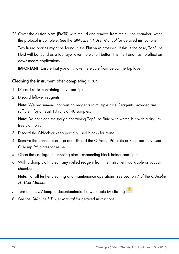23.Cover the elution plate (EMTR) with the lid and remove from the elution chamber, when the protocol is complete. See the *QIAcube HT User Manual* for detailed instructions.

Two liquid phases might be found in the Elution Microtubes. If this is the case, TopElute Fluid will be found as a top layer over the elution buffer. It is inert and has no effect on downstream applications.

IMPORTANT: Ensure that you only take the eluate from below the top layer.

<span id="page-28-0"></span>Cleaning the instrument after completing a run

- 1. Discard racks containing only used tips.
- 2. Discard leftover reagents.

Note: We recommend not reusing reagents in multiple runs. Reagents provided are sufficient for at least 10 runs of 48 samples.

Note: Do not clean the trough containing TopElute Fluid with water, but with a dry lintfree cloth only.

- 3. Discard the S-Block or keep partially used blocks for reuse.
- 4. Remove the transfer carriage and discard the QIAamp 96 plate or keep partially used QIAamp 96 plates for reuse.
- 5. Clean the carriage, channeling-block, channeling-block holder and tip chute.
- 6. With a damp cloth, clean any spilled reagent from the instrument worktable or vacuum chamber.

Note: For all further cleaning and maintenance operations, see Section 7 of the *QIAcube HT User Manual*.

- 7. Turn on the UV lamp to decontaminate the worktable by clicking
- 8. See the *QIAcube HT User Manual* for detailed instructions.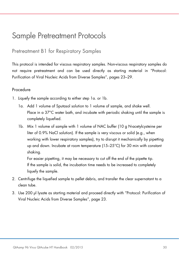# <span id="page-29-0"></span>Sample Pretreatment Protocols

### <span id="page-29-1"></span>Pretreatment B1 for Respiratory Samples

This protocol is intended for viscous respiratory samples. Non-viscous respiratory samples do not require pretreatment and can be used directly as starting material in ["Protocol:](#page-22-0)  Purification of Viral [Nucleic Acids from Diverse](#page-22-0) Samples", pages [23](#page-22-0)[–29.](#page-28-0)

### Procedure

- 1. Liquefy the sample according to either step 1a. or 1b.
	- 1a. Add 1 volume of Sputasol solution to 1 volume of sample, and shake well. Place in a 37°C water bath, and incubate with periodic shaking until the sample is completely liquefied.
	- 1b. Mix 1 volume of sample with 1 volume of NAC buffer (10 g N-acetylcysteine per liter of 0.9% NaCl solution). If the sample is very viscous or solid (e.g., when working with lower respiratory samples), try to disrupt it mechanically by pipetting up and down. Incubate at room temperature (15–25°C) for 30 min with constant shaking.

For easier pipetting, it may be necessary to cut off the end of the pipette tip. If the sample is solid, the incubation time needs to be increased to completely liquefy the sample.

- 2. Centrifuge the liquefied sample to pellet debris, and transfer the clear supernatant to a clean tube.
- 3. Use 200 µl lysate as starting material and proceed directly with ["Protocol: Purification of](#page-22-0)  Viral [Nucleic Acids from Diverse](#page-22-0) Samples", page [23.](#page-22-0)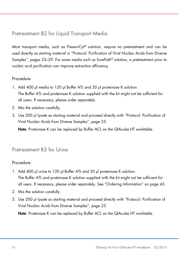## <span id="page-30-0"></span>Pretreatment B2 for Liquid Transport Media

Most transport media, such as PreservCyt® solution, require no pretreatment and can be used directly as starting material in ["Protocol: Purification of Viral](#page-22-0) Nucleic Acids from Diverse [Samples"](#page-22-0), pages [23–](#page-22-0)[29.](#page-28-0) For some media such as SurePath® solution, a pretreatment prior to nucleic acid purification can improve extraction efficiency.

### Procedure

- 1. Add 400 µl media to 120 µl Buffer ATL and 30 µl proteinase K solution. The Buffer ATL and proteinase K solution supplied with the kit might not be sufficient for all users. If necessary, please order separately.
- 2. Mix the solution carefully.
- 3. Use 200 µl lysate as starting material and proceed directly with ["Protocol: Purification of](#page-22-0)  Viral [Nucleic Acids from Diverse](#page-22-0) Samples", page [23.](#page-22-0)

Note: Proteinase K can be replaced by Buffer ACL on the QIAcube HT worktable.

## <span id="page-30-1"></span>Pretreatment B3 for Urine

### Procedure

- 1. Add 400 µl urine to 120 µl Buffer ATL and 30 µl proteinase K solution. The Buffer ATL and proteinase K solution supplied with the kit might not be sufficient for all users. If necessary, please order separately. See ["Ordering Information"](#page-42-0) on page [43.](#page-42-0)
- 2. Mix the solution carefully.
- 3. Use 200 µl lysate as starting material and proceed directly with "Protocol: Purification of Viral [Nucleic Acids from Diverse](#page-22-0) Samples", page [23.](#page-22-0)

Note: Proteinase K can be replaced by Buffer ACL on the QIAcube HT worktable.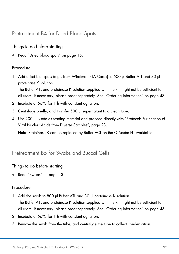<span id="page-31-0"></span>Pretreatment B4 for Dried Blood Spots

Things to do before starting

Read ["Dried blood spots"](#page-14-1) on page [15.](#page-14-1)

### Procedure

1. Add dried blot spots (e.g., from Whatman FTA Cards) to 500 µl Buffer ATL and 30 µl proteinase K solution.

The Buffer ATL and proteinase K solution supplied with the kit might not be sufficient for all users. If necessary, please order separately. See ["Ordering Information"](#page-42-0) on page [43.](#page-42-0)

- 2. Incubate at 56°C for 1 h with constant agitation.
- 3. Centrifuge briefly, and transfer 500 ul supernatant to a clean tube.
- 4. Use 200 µl lysate as starting material and proceed directly with ["Protocol: Purification of](#page-22-0)  Viral [Nucleic Acids from Diverse](#page-22-0) Samples", page [23.](#page-22-0)

Note: Proteinase K can be replaced by Buffer ACL on the QIAcube HT worktable.

### <span id="page-31-1"></span>Pretreatment B5 for Swabs and Buccal Cells

Things to do before starting

● Read ["Swabs"](#page-12-0) on page [13.](#page-12-0)

### **Procedure**

- 1. Add the swab to 800 µl Buffer ATL and 30 µl proteinase K solution. The Buffer ATL and proteinase K solution supplied with the kit might not be sufficient for all users. If necessary, please order separately. See ["Ordering Information"](#page-42-0) on page [43.](#page-42-0)
- 2. Incubate at 56°C for 1 h with constant agitation.
- 3. Remove the swab from the tube, and centrifuge the tube to collect condensation.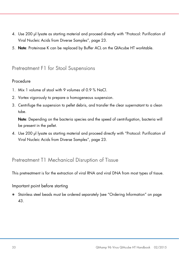- 4. Use 200 µl lysate as starting material and proceed directly with ["Protocol: Purification of](#page-22-0)  Viral [Nucleic Acids from Diverse](#page-22-0) Samples", page [23.](#page-22-0)
- 5. Note: Proteinase K can be replaced by Buffer ACL on the QIAcube HT worktable.

### <span id="page-32-0"></span>Pretreatment F1 for Stool Suspensions

### Procedure

- 1. Mix 1 volume of stool with 9 volumes of 0.9 % NaCl.
- 2. Vortex vigorously to prepare a homogeneous suspension.
- 3. Centrifuge the suspension to pellet debris, and transfer the clear supernatant to a clean tube.

Note: Depending on the bacteria species and the speed of centrifugation, bacteria will be present in the pellet.

4. Use 200 µl lysate as starting material and proceed directly with ["Protocol: Purification of](#page-22-0)  Viral [Nucleic Acids from Diverse](#page-22-0) Samples", page [23.](#page-22-0)

### <span id="page-32-1"></span>Pretreatment T1 Mechanical Disruption of Tissue

This pretreatment is for the extraction of viral RNA and viral DNA from most types of tissue.

### Important point before starting

 Stainless steel beads must be ordered separately (see ["Ordering Information"](#page-42-0) on page [43.](#page-42-0)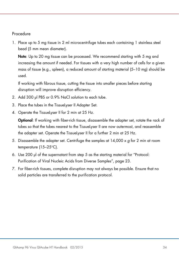### Procedure

1. Place up to 5 mg tissue in 2 ml microcentrifuge tubes each containing 1 stainless steel bead (5 mm mean diameter).

Note: Up to 20 mg tissue can be processed. We recommend starting with 5 mg and increasing the amount if needed. For tissues with a very high number of cells for a given mass of tissue (e.g., spleen), a reduced amount of starting material (5–10 mg) should be used.

If working with fibrous tissue, cutting the tissue into smaller pieces before starting disruption will improve disruption efficiency.

- 2. Add 300 µl PBS or 0.9% NaCl solution to each tube.
- 3. Place the tubes in the TissueLyser II Adapter Set.
- 4. Operate the TissueLyser II for 2 min at 25 Hz.

Optional: If working with fiber-rich tissue, disassemble the adapter set, rotate the rack of tubes so that the tubes nearest to the TissueLyser II are now outermost, and reassemble the adapter set. Operate the TissueLyser II for a further 2 min at 25 Hz.

- 5. Disassemble the adapter set. Centrifuge the samples at 14,000 x *g* for 2 min at room temperature (15–25°C).
- 6. Use 200 µl of the supernatant from step 5 as the starting material for ["Protocol:](#page-22-0)  Purification of Viral [Nucleic Acids from Diverse](#page-22-0) Samples", page [23.](#page-22-0)
- 7. For fiber-rich tissues, complete disruption may not always be possible. Ensure that no solid particles are transferred to the purification protocol.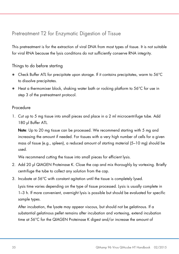# <span id="page-34-0"></span>Pretreatment T2 for Enzymatic Digestion of Tissue

This pretreatment is for the extraction of viral DNA from most types of tissue. It is not suitable for viral RNA because the lysis conditions do not sufficiently conserve RNA integrity.

Things to do before starting

- Check Buffer ATL for precipitate upon storage. If it contains precipitates, warm to 56°C to dissolve precipitates.
- $\bullet$  Heat a thermomixer block, shaking water bath or rocking platform to 56°C for use in step 3 of the pretreatment protocol.

### <span id="page-34-1"></span>Procedure

1. Cut up to 5 mg tissue into small pieces and place in a 2 ml microcentrifuge tube. Add 180 µl Buffer ATL.

Note: Up to 20 mg tissue can be processed. We recommend starting with 5 mg and increasing the amount if needed. For tissues with a very high number of cells for a given mass of tissue (e.g., spleen), a reduced amount of starting material (5–10 mg) should be used.

We recommend cutting the tissue into small pieces for efficient lysis.

- 2. Add 20 µl QIAGEN Proteinase K. Close the cap and mix thoroughly by vortexing. Briefly centrifuge the tube to collect any solution from the cap.
- 3. Incubate at 56°C with constant agitation until the tissue is completely lysed.

Lysis time varies depending on the type of tissue processed. Lysis is usually complete in 1–3 h. If more convenient, overnight lysis is possible but should be evaluated for specific sample types.

After incubation, the lysate may appear viscous, but should not be gelatinous. If a substantial gelatinous pellet remains after incubation and vortexing, extend incubation time at 56°C for the QIAGEN Proteinase K digest and/or increase the amount of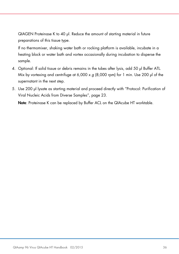QIAGEN Proteinase K to 40 µl. Reduce the amount of starting material in future preparations of this tissue type.

If no thermomixer, shaking water bath or rocking platform is available, incubate in a heating block or water bath and vortex occasionally during incubation to disperse the sample.

- 4. Optional: If solid tissue or debris remains in the tubes after lysis, add 50 µl Buffer ATL. Mix by vortexing and centrifuge at 6,000 x *g* (8,000 rpm) for 1 min. Use 200 µl of the supernatant in the next step.
- 5. Use 200 µl lysate as starting material and proceed directly with ["Protocol: Purification of](#page-22-0)  Viral [Nucleic Acids from Diverse](#page-22-0) Samples", page [23.](#page-22-0)

Note: Proteinase K can be replaced by Buffer ACL on the QIAcube HT worktable.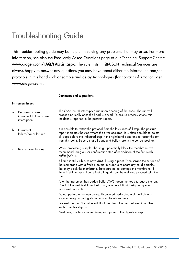# <span id="page-36-0"></span>Troubleshooting Guide

This troubleshooting guide may be helpful in solving any problems that may arise. For more information, see also the Frequently Asked Questions page at our Technical Support Center: www.qiagen.com/FAQ/FAQList.aspx. The scientists in QIAGEN Technical Services are always happy to answer any questions you may have about either the information and/or protocols in this handbook or sample and assay technologies (for contact information, visit www.qiagen.com).

Comments and suggestions

|    | <b>Instrument issues</b>                                          |                                                                                                                                                                                                                                                                                                                                                   |  |  |  |  |
|----|-------------------------------------------------------------------|---------------------------------------------------------------------------------------------------------------------------------------------------------------------------------------------------------------------------------------------------------------------------------------------------------------------------------------------------|--|--|--|--|
| a) | Recovery in case of<br>instrument failure or user<br>interruption | The QIAcube HT interrupts a run upon opening of the hood. The run will<br>proceed normally once the hood is closed. To ensure process safety, this<br>incident is reported in the post-run report.                                                                                                                                                |  |  |  |  |
| b) | Instrument<br>failure/cancelled run                               | It is possible to restart the protocol from the last successful step. The post-run<br>report indicates the step where the error occurred. It is often possible to delete<br>all steps before the indicated step in the right-hand pane and to restart the run<br>from this point. Be sure that all parts and buffers are in the correct position. |  |  |  |  |
| c) | <b>Blocked membranes</b>                                          | When processing samples that might potentially block the membrane, we<br>recommend using a user confirmation step after addition of the first wash<br>buffer (AW1).                                                                                                                                                                               |  |  |  |  |
|    |                                                                   | If liquid is still visible, remove 500 µl using a pipet. Then scrape the surface of<br>the membrane with a fresh pipet tip in order to relocate any solid particles<br>that may block the membrane. Take care not to damage the membrane. If<br>there is still no liquid flow, pipet all liquid from the well and proceed with the<br>run.        |  |  |  |  |
|    |                                                                   | After the instrument has added Buffer AW2, open the hood to pause the run.<br>Check if the well is still blocked. If so, remove all liquid using a pipet and<br>mark well as invalid.                                                                                                                                                             |  |  |  |  |
|    |                                                                   | Do not perforate the membrane. Uncovered perforated wells will disturb<br>vacuum integrity during elution across the whole plate.                                                                                                                                                                                                                 |  |  |  |  |
|    |                                                                   | Proceed the run. No buffer will float over from the blocked well into other<br>wells from this step on.                                                                                                                                                                                                                                           |  |  |  |  |
|    |                                                                   | Next time, use less sample (tissue) and prolong the digestion step.                                                                                                                                                                                                                                                                               |  |  |  |  |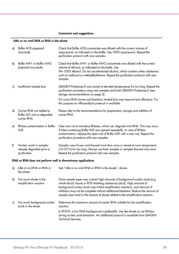#### Comments and suggestions

#### Little or no viral DNA or RNA in the eluate

| a) | Buffer ACB prepared<br>incorrectly                                    | Check that Buffer ACB concentrate was diluted with the correct volume of<br>isopropanol, as indicated on the bottle. Use 100% isopropanol. Repeat the<br>purification protocol with new samples.                                                                                                                                                                                                                 |
|----|-----------------------------------------------------------------------|------------------------------------------------------------------------------------------------------------------------------------------------------------------------------------------------------------------------------------------------------------------------------------------------------------------------------------------------------------------------------------------------------------------|
| b) | Buffer AW1 or Buffer AW2<br>prepared incorrectly                      | Check that Buffer AW1 or Buffer AW2 concentrate was diluted with the correct<br>volume of ethanol, as indicated on the bottle. Use<br>96-100% ethanol. Do not use denatured alcohol, which contains other substances<br>such as methanol or methylethylketone. Repeat the purification protocol with new<br>samples.                                                                                             |
| c) | Insufficient sample lysis                                             | QIAGEN Proteinase K was stored at elevated temperatures for too long. Repeat the<br>purification procedure using new samples and fresh QIAGEN Proteinase K (see<br>storage recommendations on page 5).                                                                                                                                                                                                           |
|    |                                                                       | For some DNA viruses and bacteria, heated lysis may improve lysis efficiency. For<br>this purpose an off-board-lysis protocol is available.                                                                                                                                                                                                                                                                      |
| d) | Carrier RNA not added to<br>Buffer ACL mix or degraded<br>carrier RNA | Please refer to the recommendations for preparation, storage and addition of<br>carrier RNA.                                                                                                                                                                                                                                                                                                                     |
| e) | RNase contamination in Buffer<br><b>AVE</b>                           | Take care not to introduce RNases, which can degrade viral RNA. This may occur<br>if tubes containing Buffer AVE are opened repeatedly. In case of RNase<br>contamination, replace the open vial of Buffer AVE with a new vial. Repeat the<br>purification procedure with new samples.                                                                                                                           |
| f) | Nucleic acids in samples<br>already degraded prior to<br>purification | Samples were frozen and thawed more than once or stored at room temperature<br>(15-25°C) for too long. Always use fresh samples or samples thawed only once.<br>Repeat the purification protocol with new samples.                                                                                                                                                                                               |
|    | DNA or RNA does not perform well in downstream applications           |                                                                                                                                                                                                                                                                                                                                                                                                                  |
| a) | Little or no DNA or RNA in<br>the eluate                              | See "Little or no viral DNA or RNA in the eluate", above.                                                                                                                                                                                                                                                                                                                                                        |
| b) | Too much eluate in the<br>amplification reaction                      | Some sample types may contain high amounts of background nucleic acids (e.g.<br>whole blood, tissue) or PCR inhibiting substances (stool). High amounts of<br>background nucleic acids may inhibit amplification reactions, and removal of<br>inhibitors may not be complete without additional treatment. Reduce the amount of<br>sample input and/or the amount of eluate added to the amplification reaction. |
| c) | Too much background nucleic<br>acids in the eluate                    | Determine the maximum amount of carrier RNA suitable for the amplification<br>reaction.<br>In RT-PCR, a low DNA background is preferable. Use less eluate or use DNase<br>during nucleic acid extraction. An additional protocol is available from QIAGEN<br><b>Technical Services.</b>                                                                                                                          |
|    |                                                                       |                                                                                                                                                                                                                                                                                                                                                                                                                  |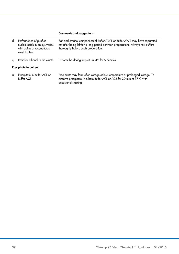#### Comments and suggestions

| dl | Performance of purified<br>nucleic acids in assays varies<br>with aging of reconstituted<br>wash buffers | Salt and ethanol components of Buffer AW1 or Buffer AW2 may have separated<br>out after being left for a long period between preparations. Always mix buffers<br>thoroughly before each preparation. |
|----|----------------------------------------------------------------------------------------------------------|------------------------------------------------------------------------------------------------------------------------------------------------------------------------------------------------------|
| el | Residual ethanol in the eluate                                                                           | Perform the drying step at 25 kPa for 5 minutes.                                                                                                                                                     |
|    | Precipitate in buffers                                                                                   |                                                                                                                                                                                                      |
| a) | Precipitate in Buffer ACL or<br><b>Buffer ACB</b>                                                        | Precipitate may form after storage at low temperature or prolonged storage. To<br>dissolve precipitate, incubate Buffer ACL or ACB for 30 min at 37°C with<br>occasional shaking.                    |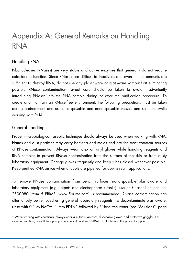# <span id="page-39-0"></span>Appendix A: General Remarks on Handling RNA

### Handling RNA

Ribonucleases (RNases) are very stable and active enzymes that generally do not require cofactors to function. Since RNases are difficult to inactivate and even minute amounts are sufficient to destroy RNA, do not use any plasticware or glassware without first eliminating possible RNase contamination. Great care should be taken to avoid inadvertently introducing RNases into the RNA sample during or after the purification procedure. To create and maintain an RNase-free environment, the following precautions must be taken during pretreatment and use of disposable and nondisposable vessels and solutions while working with RNA.

### General handling

Proper microbiological, aseptic technique should always be used when working with RNA. Hands and dust particles may carry bacteria and molds and are the most common sources of RNase contamination. Always wear latex or vinyl gloves while handling reagents and RNA samples to prevent RNase contamination from the surface of the skin or from dusty laboratory equipment. Change gloves frequently and keep tubes closed whenever possible. Keep purified RNA on ice when aliquots are pipetted for downstream applications.

To remove RNase contamination from bench surfaces, nondisposable plasticware and laboratory equipment (e.g., pipets and electrophoresis tanks), use of RNaseKiller (cat. no. 2500080) from 5 PRIME (www.5prime.com) is recommended. RNase contamination can alternatively be removed using general laboratory reagents. To decontaminate plasticware, rinse with 0.1 M NaOH, 1 mM EDTA[\\*](#page-39-1) followed by RNase-free water (see ["Solutions"](#page-40-0), page

<span id="page-39-1"></span><sup>\*</sup> When working with chemicals, always wear a suitable lab coat, disposable gloves, and protective goggles. For more information, consult the appropriate safety data sheets (SDSs), available from the product supplier.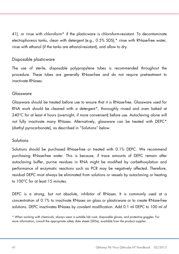[41\),](#page-40-0) or rinse with chloroform\* if the plasticware is chloroform-resistant. To decontaminate electrophoresis tanks, clean with detergent (e.g., 0.5% SDS),\* rinse with RNase-free water, rinse with ethanol (if the tanks are ethanol-resistant), and allow to dry.

### Disposable plasticware

The use of sterile, disposable polypropylene tubes is recommended throughout the procedure. These tubes are generally RNase-free and do not require pretreatment to inactivate RNases.

### Glassware

Glassware should be treated before use to ensure that it is RNase-free. Glassware used for RNA work should be cleaned with a detergent[\\*](#page-40-1), thoroughly rinsed and oven baked at 240°C for at least 4 hours (overnight, if more convenient) before use. Autoclaving alone will not fully inactivate many RNases. Alternatively, glassware can be treated with DEPC\* (diethyl pyrocarbonate), as described in ["Solutions"](#page-40-0) below.

### <span id="page-40-0"></span>Solutions

Solutions should be purchased RNase-free or treated with 0.1% DEPC. We recommend purchasing RNase-free water. This is because, if trace amounts of DEPC remain after autoclaving buffer, purine residues in RNA might be modified by carbethoxylation and performance of enzymatic reactions such as PCR may be negatively affected. Therefore, residual DEPC must always be eliminated from solutions or vessels by autoclaving or heating to 100°C for at least 15 minutes.

DEPC is a strong, but not absolute, inhibitor of RNases. It is commonly used at a concentration of 0.1% to inactivate RNases on glass or plasticware or to create RNase-free solutions. DEPC inactivates RNases by covalent modification. Add 0.1 ml DEPC to 100 ml of

<span id="page-40-1"></span><sup>\*</sup> When working with chemicals, always wear a suitable lab coat, disposable gloves, and protective goggles. For more information, consult the appropriate safety data sheets (SDSs), available from the product supplier.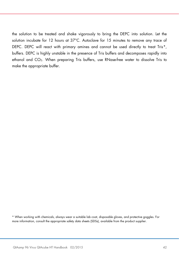the solution to be treated and shake vigorously to bring the DEPC into solution. Let the solution incubate for 12 hours at 37°C. Autoclave for 15 minutes to remove any trace of DEPC. DEPC will react with primary amines and cannot be used directly to treat Tris\*, buffers. DEPC is highly unstable in the presence of Tris buffers and decomposes rapidly into ethanol and CO<sub>2</sub>. When preparing Tris buffers, use RNase-free water to dissolve Tris to make the appropriate buffer.

<span id="page-41-0"></span>\* When working with chemicals, always wear a suitable lab coat, disposable gloves, and protective goggles. For more information, consult the appropriate safety data sheets (SDSs), available from the product supplier.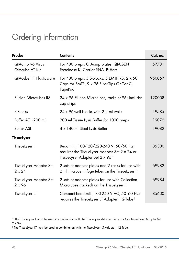# <span id="page-42-0"></span>Ordering Information

| Product                                  | <b>Contents</b>                                                                                                                          | Cat. no. |
|------------------------------------------|------------------------------------------------------------------------------------------------------------------------------------------|----------|
| QlAamp 96 Virus<br>QIAcube HT Kit        | For 480 preps: QIAamp plates, QIAGEN<br>Proteinase K, Carrier RNA, Buffers                                                               | 57731    |
| <b>QIAcube HT Plasticware</b>            | For 480 preps: 5 S-Blocks, 5 EMTR RS, $2 \times 50$<br>Caps for EMTR, 9 x 96 Filter-Tips OnCor C,<br><b>TapePad</b>                      | 950067   |
| <b>Elution Microtubes RS</b>             | 24 x 96 Elution Microtubes, racks of 96; includes<br>cap strips                                                                          | 120008   |
| S-Blocks                                 | 24 x 96-well blocks with 2.2 ml wells                                                                                                    | 19585    |
| Buffer ATL (200 ml)                      | 200 ml Tissue Lysis Buffer for 1000 preps                                                                                                | 19076    |
| <b>Buffer ASL</b>                        | 4 x 140 ml Stool Lysis Buffer                                                                                                            | 19082    |
| TissueLyser                              |                                                                                                                                          |          |
| TissueLyser II                           | Bead mill, 100-120/220-240 V, 50/60 Hz;<br>requires the Tissuelyser Adapter Set 2 x 24 or<br>TissueLyser Adapter Set 2 x 96 <sup>*</sup> | 85300    |
| TissueLyser Adapter Set<br>$2 \times 24$ | 2 sets of adapter plates and 2 racks for use with<br>2 ml microcentrifuge tubes on the TissueLyser II                                    | 69982    |
| TissueLyser Adapter Set<br>$2 \times 96$ | 2 sets of adapter plates for use with Collection<br>Microtubes (racked) on the TissueLyser II                                            | 69984    |
| TissueLyser LT                           | Compact bead mill, 100-240 V AC, 50-60 Hz;<br>requires the Tissuelyser LT Adapter, 12-Tube <sup>t</sup>                                  | 85600    |

<span id="page-42-1"></span>\* The TissueLyser II must be used in combination with the TissueLyser Adapter Set 2 x 24 or TissueLyser Adapter Set 2 x 96.

<span id="page-42-2"></span>† The TissueLyser LT must be used in combination with the TissueLyser LT Adapter, 12-Tube.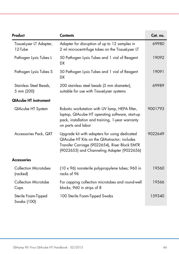| Product                                  | <b>Contents</b>                                                                                                                                                                              | Cat. no. |
|------------------------------------------|----------------------------------------------------------------------------------------------------------------------------------------------------------------------------------------------|----------|
| TissueLyser LT Adapter,<br>12-Tube       | Adapter for disruption of up to 12 samples in<br>2 ml microcentrifuge tubes on the Tissuelyser LT                                                                                            | 69980    |
| Pathogen Lysis Tubes L                   | 50 Pathogen Lysis Tubes and 1 vial of Reagent<br>DX                                                                                                                                          | 19092    |
| Pathogen Lysis Tubes S                   | 50 Pathogen Lysis Tubes and 1 vial of Reagent<br><b>DX</b>                                                                                                                                   | 19091    |
| Stainless Steel Beads,<br>5 mm (200)     | 200 stainless steel beads (5 mm diameter),<br>suitable for use with TissueLyser systems                                                                                                      | 69989    |
| <b>QIAcube HT instrument</b>             |                                                                                                                                                                                              |          |
| QIAcube HT System                        | Robotic workstation with UV lamp, HEPA filter,<br>laptop, QIAcube HT operating software, start-up<br>pack, installation and training, 1-year warranty<br>on parts and labor                  | 9001793  |
| Accessories Pack, QXT                    | Upgrade kit with adapters for using dedicated<br>QIAcube HT Kits on the QIAxtractor; includes<br>Transfer Carriage (9022654), Riser Block EMTR<br>(9022655) and Channeling Adapter (9022656) | 9022649  |
| <b>Accessories</b>                       |                                                                                                                                                                                              |          |
| <b>Collection Microtubes</b><br>(racked) | (10 x 96) nonsterile polypropylene tubes; 960 in<br>racks of 96                                                                                                                              | 19560    |
| <b>Collection Microtube</b><br>Caps      | For capping collection microtubes and round-well<br>blocks; 960 in strips of 8                                                                                                               | 19566    |
| Sterile Foam-Tipped<br>Swabs (100)       | 100 Sterile Foam-Tipped Swabs                                                                                                                                                                | 159340   |

 $\sim$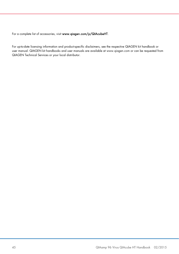For a complete list of accessories, visit [www.qiagen.com/p/QIAcubeHT.](http://www.qiagen.com/p/QIAcubeHT)

For up-to-date licensing information and product-specific disclaimers, see the respective QIAGEN kit handbook or user manual. QIAGEN kit handbooks and user manuals are available at www.qiagen.com or can be requested from QIAGEN Technical Services or your local distributor.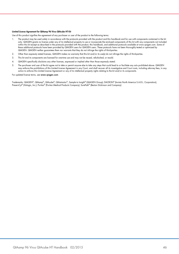#### Limited License Agreement for QIAamp 96 Virus QIAcube HT Kit

Use of this product signifies the agreement of any purchaser or user of the product to the following terms:

- The product may be used solely in accordance with the protocols provided with the product and this handbook and tor use with components contained in the kit (15)<br>only. QIAGEN grants no license under any of its intellectual within this kit except as described in the protocols provided with the product, this handbook, and additional protocols available at www.qiagen.com. Some of these additional protocols have been provided by QIAGEN users for QIAGEN users. These protocols have not been thoroughly tested or optimized by QIAGEN. QIAGEN neither guarantees them nor warrants that they do not infringe the rights of third-parties.
- 2. Other than expressly stated licenses, QIAGEN makes no warranty that this kit and/or its use(s) do not infringe the rights of third-parties.
- 3. This kit and its components are licensed for one-time use and may not be reused, refurbished, or resold.
- 4. QIAGEN specifically disclaims any other licenses, expressed or implied other than those expressly stated.
- 5. The purchaser and user of the kit agree not to take or permit anyone else to take any steps that could lead to or facilitate any acts prohibited above. QIAGEN may enforce the prohibitions of this Limited License Agreement in any Court, and shall recover all its investigative and Court costs, including attorney fees, in any action to enforce this Limited License Agreement or any of its intellectual property rights relating to the kit and/or its components.

#### For updated license terms, se[e www.qiagen.com.](http://www.qiagen.com/)

Trademarks: QIAGEN®, QIAamp®, QIAcube®, QIAxtractor®, Sample to Insight® (QIAGEN Group); DACRON® (Invista North America S.A.R.L. Corporation); PreservCyt® (Hologic, Inc.); Puritan® (Puritan Medical Products Company); SurePath® (Becton Dickinson and Company).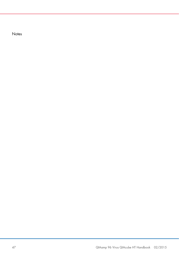**Notes**